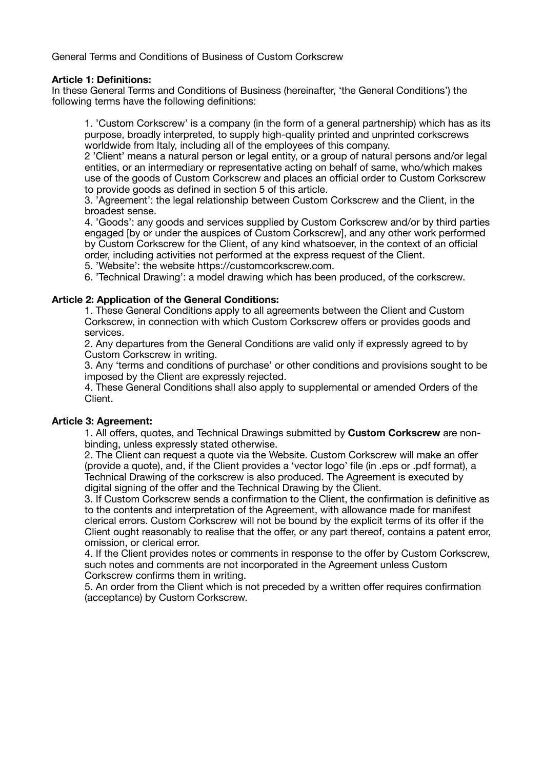General Terms and Conditions of Business of Custom Corkscrew

### **Article 1: Definitions:**

In these General Terms and Conditions of Business (hereinafter, 'the General Conditions') the following terms have the following definitions:

1. 'Custom Corkscrew' is a company (in the form of a general partnership) which has as its purpose, broadly interpreted, to supply high-quality printed and unprinted corkscrews worldwide from Italy, including all of the employees of this company.

2 'Client' means a natural person or legal entity, or a group of natural persons and/or legal entities, or an intermediary or representative acting on behalf of same, who/which makes use of the goods of Custom Corkscrew and places an official order to Custom Corkscrew to provide goods as defined in section 5 of this article.

3. 'Agreement': the legal relationship between Custom Corkscrew and the Client, in the broadest sense.

4. 'Goods': any goods and services supplied by Custom Corkscrew and/or by third parties engaged [by or under the auspices of Custom Corkscrew], and any other work performed by Custom Corkscrew for the Client, of any kind whatsoever, in the context of an official order, including activities not performed at the express request of the Client.

5. 'Website': the website https://customcorkscrew.com.

6. 'Technical Drawing': a model drawing which has been produced, of the corkscrew.

## **Article 2: Application of the General Conditions:**

1. These General Conditions apply to all agreements between the Client and Custom Corkscrew, in connection with which Custom Corkscrew offers or provides goods and services.

2. Any departures from the General Conditions are valid only if expressly agreed to by Custom Corkscrew in writing.

3. Any 'terms and conditions of purchase' or other conditions and provisions sought to be imposed by the Client are expressly rejected.

4. These General Conditions shall also apply to supplemental or amended Orders of the Client.

### **Article 3: Agreement:**

1. All offers, quotes, and Technical Drawings submitted by **Custom Corkscrew** are nonbinding, unless expressly stated otherwise.

2. The Client can request a quote via the Website. Custom Corkscrew will make an offer (provide a quote), and, if the Client provides a 'vector logo' file (in .eps or .pdf format), a Technical Drawing of the corkscrew is also produced. The Agreement is executed by digital signing of the offer and the Technical Drawing by the Client.

3. If Custom Corkscrew sends a confirmation to the Client, the confirmation is definitive as to the contents and interpretation of the Agreement, with allowance made for manifest clerical errors. Custom Corkscrew will not be bound by the explicit terms of its offer if the Client ought reasonably to realise that the offer, or any part thereof, contains a patent error, omission, or clerical error.

4. If the Client provides notes or comments in response to the offer by Custom Corkscrew, such notes and comments are not incorporated in the Agreement unless Custom Corkscrew confirms them in writing.

5. An order from the Client which is not preceded by a written offer requires confirmation (acceptance) by Custom Corkscrew.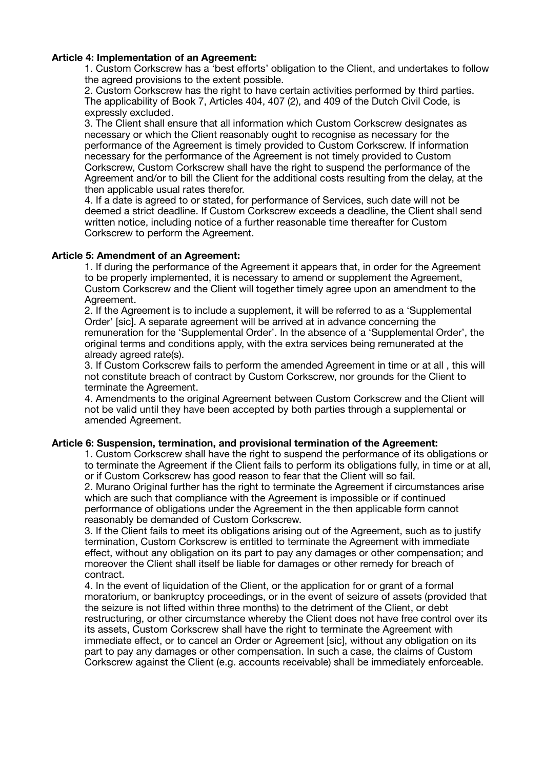## **Article 4: Implementation of an Agreement:**

1. Custom Corkscrew has a 'best efforts' obligation to the Client, and undertakes to follow the agreed provisions to the extent possible.

2. Custom Corkscrew has the right to have certain activities performed by third parties. The applicability of Book 7, Articles 404, 407 (2), and 409 of the Dutch Civil Code, is expressly excluded.

3. The Client shall ensure that all information which Custom Corkscrew designates as necessary or which the Client reasonably ought to recognise as necessary for the performance of the Agreement is timely provided to Custom Corkscrew. If information necessary for the performance of the Agreement is not timely provided to Custom Corkscrew, Custom Corkscrew shall have the right to suspend the performance of the Agreement and/or to bill the Client for the additional costs resulting from the delay, at the then applicable usual rates therefor.

4. If a date is agreed to or stated, for performance of Services, such date will not be deemed a strict deadline. If Custom Corkscrew exceeds a deadline, the Client shall send written notice, including notice of a further reasonable time thereafter for Custom Corkscrew to perform the Agreement.

### **Article 5: Amendment of an Agreement:**

1. If during the performance of the Agreement it appears that, in order for the Agreement to be properly implemented, it is necessary to amend or supplement the Agreement, Custom Corkscrew and the Client will together timely agree upon an amendment to the Agreement.

2. If the Agreement is to include a supplement, it will be referred to as a 'Supplemental Order' [sic]. A separate agreement will be arrived at in advance concerning the remuneration for the 'Supplemental Order'. In the absence of a 'Supplemental Order', the original terms and conditions apply, with the extra services being remunerated at the already agreed rate(s).

3. If Custom Corkscrew fails to perform the amended Agreement in time or at all , this will not constitute breach of contract by Custom Corkscrew, nor grounds for the Client to terminate the Agreement.

4. Amendments to the original Agreement between Custom Corkscrew and the Client will not be valid until they have been accepted by both parties through a supplemental or amended Agreement.

### **Article 6: Suspension, termination, and provisional termination of the Agreement:**

1. Custom Corkscrew shall have the right to suspend the performance of its obligations or to terminate the Agreement if the Client fails to perform its obligations fully, in time or at all, or if Custom Corkscrew has good reason to fear that the Client will so fail.

2. Murano Original further has the right to terminate the Agreement if circumstances arise which are such that compliance with the Agreement is impossible or if continued performance of obligations under the Agreement in the then applicable form cannot reasonably be demanded of Custom Corkscrew.

3. If the Client fails to meet its obligations arising out of the Agreement, such as to justify termination, Custom Corkscrew is entitled to terminate the Agreement with immediate effect, without any obligation on its part to pay any damages or other compensation; and moreover the Client shall itself be liable for damages or other remedy for breach of contract.

4. In the event of liquidation of the Client, or the application for or grant of a formal moratorium, or bankruptcy proceedings, or in the event of seizure of assets (provided that the seizure is not lifted within three months) to the detriment of the Client, or debt restructuring, or other circumstance whereby the Client does not have free control over its its assets, Custom Corkscrew shall have the right to terminate the Agreement with immediate effect, or to cancel an Order or Agreement [sic], without any obligation on its part to pay any damages or other compensation. In such a case, the claims of Custom Corkscrew against the Client (e.g. accounts receivable) shall be immediately enforceable.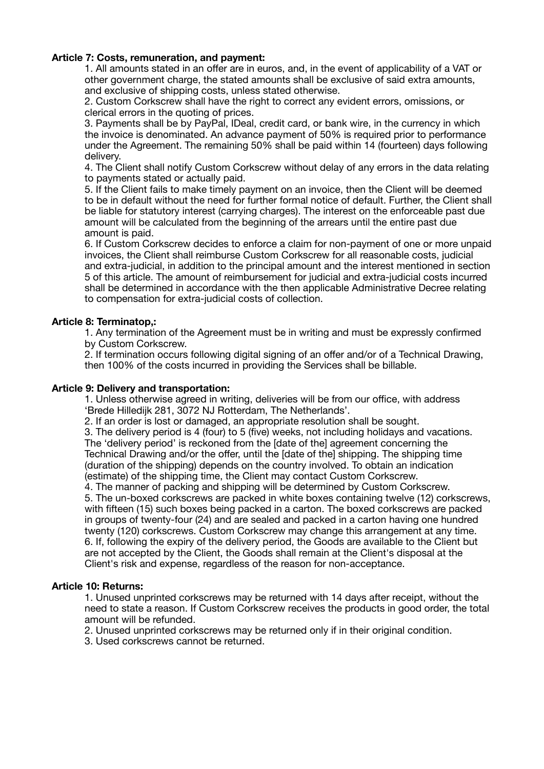## **Article 7: Costs, remuneration, and payment:**

1. All amounts stated in an offer are in euros, and, in the event of applicability of a VAT or other government charge, the stated amounts shall be exclusive of said extra amounts, and exclusive of shipping costs, unless stated otherwise.

2. Custom Corkscrew shall have the right to correct any evident errors, omissions, or clerical errors in the quoting of prices.

3. Payments shall be by PayPal, IDeal, credit card, or bank wire, in the currency in which the invoice is denominated. An advance payment of 50% is required prior to performance under the Agreement. The remaining 50% shall be paid within 14 (fourteen) days following delivery.

4. The Client shall notify Custom Corkscrew without delay of any errors in the data relating to payments stated or actually paid.

5. If the Client fails to make timely payment on an invoice, then the Client will be deemed to be in default without the need for further formal notice of default. Further, the Client shall be liable for statutory interest (carrying charges). The interest on the enforceable past due amount will be calculated from the beginning of the arrears until the entire past due amount is paid.

6. If Custom Corkscrew decides to enforce a claim for non-payment of one or more unpaid invoices, the Client shall reimburse Custom Corkscrew for all reasonable costs, judicial and extra-judicial, in addition to the principal amount and the interest mentioned in section 5 of this article. The amount of reimbursement for judicial and extra-judicial costs incurred shall be determined in accordance with the then applicable Administrative Decree relating to compensation for extra-judicial costs of collection.

## **Article 8: Terminatop,:**

1. Any termination of the Agreement must be in writing and must be expressly confirmed by Custom Corkscrew.

2. If termination occurs following digital signing of an offer and/or of a Technical Drawing, then 100% of the costs incurred in providing the Services shall be billable.

### **Article 9: Delivery and transportation:**

1. Unless otherwise agreed in writing, deliveries will be from our office, with address 'Brede Hilledijk 281, 3072 NJ Rotterdam, The Netherlands'.

2. If an order is lost or damaged, an appropriate resolution shall be sought.

3. The delivery period is 4 (four) to 5 (five) weeks, not including holidays and vacations. The 'delivery period' is reckoned from the [date of the] agreement concerning the Technical Drawing and/or the offer, until the [date of the] shipping. The shipping time (duration of the shipping) depends on the country involved. To obtain an indication (estimate) of the shipping time, the Client may contact Custom Corkscrew.

4. The manner of packing and shipping will be determined by Custom Corkscrew. 5. The un-boxed corkscrews are packed in white boxes containing twelve (12) corkscrews, with fifteen (15) such boxes being packed in a carton. The boxed corkscrews are packed in groups of twenty-four (24) and are sealed and packed in a carton having one hundred twenty (120) corkscrews. Custom Corkscrew may change this arrangement at any time. 6. If, following the expiry of the delivery period, the Goods are available to the Client but are not accepted by the Client, the Goods shall remain at the Client's disposal at the Client's risk and expense, regardless of the reason for non-acceptance.

### **Article 10: Returns:**

1. Unused unprinted corkscrews may be returned with 14 days after receipt, without the need to state a reason. If Custom Corkscrew receives the products in good order, the total amount will be refunded.

2. Unused unprinted corkscrews may be returned only if in their original condition.

3. Used corkscrews cannot be returned.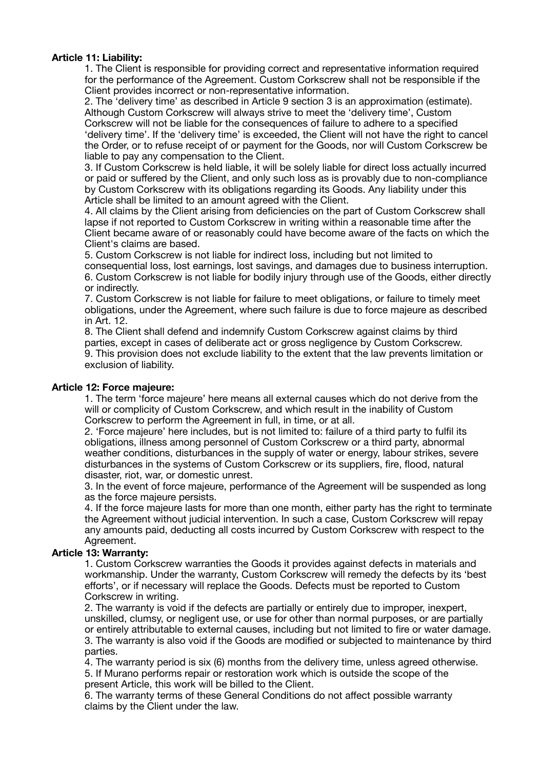## **Article 11: Liability:**

1. The Client is responsible for providing correct and representative information required for the performance of the Agreement. Custom Corkscrew shall not be responsible if the Client provides incorrect or non-representative information.

2. The 'delivery time' as described in Article 9 section 3 is an approximation (estimate). Although Custom Corkscrew will always strive to meet the 'delivery time', Custom Corkscrew will not be liable for the consequences of failure to adhere to a specified 'delivery time'. If the 'delivery time' is exceeded, the Client will not have the right to cancel the Order, or to refuse receipt of or payment for the Goods, nor will Custom Corkscrew be liable to pay any compensation to the Client.

3. If Custom Corkscrew is held liable, it will be solely liable for direct loss actually incurred or paid or suffered by the Client, and only such loss as is provably due to non-compliance by Custom Corkscrew with its obligations regarding its Goods. Any liability under this Article shall be limited to an amount agreed with the Client.

4. All claims by the Client arising from deficiencies on the part of Custom Corkscrew shall lapse if not reported to Custom Corkscrew in writing within a reasonable time after the Client became aware of or reasonably could have become aware of the facts on which the Client's claims are based.

5. Custom Corkscrew is not liable for indirect loss, including but not limited to consequential loss, lost earnings, lost savings, and damages due to business interruption. 6. Custom Corkscrew is not liable for bodily injury through use of the Goods, either directly or indirectly.

7. Custom Corkscrew is not liable for failure to meet obligations, or failure to timely meet obligations, under the Agreement, where such failure is due to force majeure as described in Art. 12.

8. The Client shall defend and indemnify Custom Corkscrew against claims by third parties, except in cases of deliberate act or gross negligence by Custom Corkscrew. 9. This provision does not exclude liability to the extent that the law prevents limitation or exclusion of liability.

### **Article 12: Force majeure:**

1. The term 'force majeure' here means all external causes which do not derive from the will or complicity of Custom Corkscrew, and which result in the inability of Custom Corkscrew to perform the Agreement in full, in time, or at all.

2. 'Force majeure' here includes, but is not limited to: failure of a third party to fulfil its obligations, illness among personnel of Custom Corkscrew or a third party, abnormal weather conditions, disturbances in the supply of water or energy, labour strikes, severe disturbances in the systems of Custom Corkscrew or its suppliers, fire, flood, natural disaster, riot, war, or domestic unrest.

3. In the event of force majeure, performance of the Agreement will be suspended as long as the force majeure persists.

4. If the force majeure lasts for more than one month, either party has the right to terminate the Agreement without judicial intervention. In such a case, Custom Corkscrew will repay any amounts paid, deducting all costs incurred by Custom Corkscrew with respect to the Agreement.

# **Article 13: Warranty:**

1. Custom Corkscrew warranties the Goods it provides against defects in materials and workmanship. Under the warranty, Custom Corkscrew will remedy the defects by its 'best efforts', or if necessary will replace the Goods. Defects must be reported to Custom Corkscrew in writing.

2. The warranty is void if the defects are partially or entirely due to improper, inexpert, unskilled, clumsy, or negligent use, or use for other than normal purposes, or are partially or entirely attributable to external causes, including but not limited to fire or water damage. 3. The warranty is also void if the Goods are modified or subjected to maintenance by third parties.

4. The warranty period is six (6) months from the delivery time, unless agreed otherwise. 5. If Murano performs repair or restoration work which is outside the scope of the present Article, this work will be billed to the Client.

6. The warranty terms of these General Conditions do not affect possible warranty claims by the Client under the law.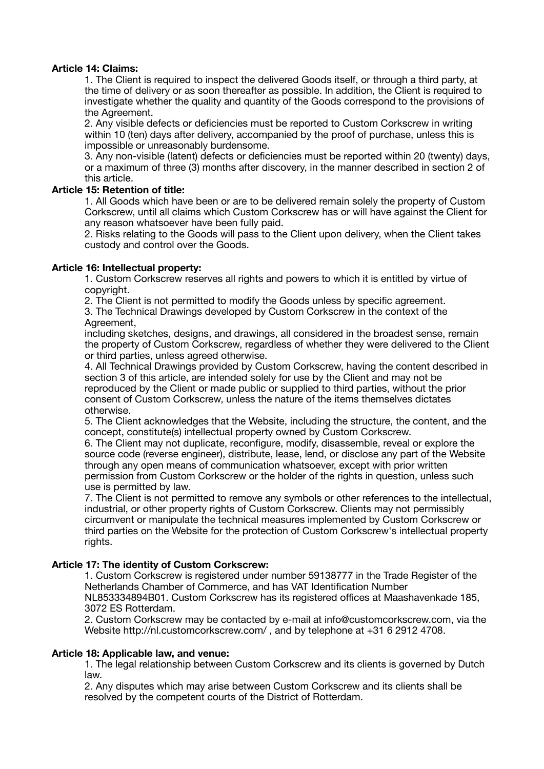## **Article 14: Claims:**

1. The Client is required to inspect the delivered Goods itself, or through a third party, at the time of delivery or as soon thereafter as possible. In addition, the Client is required to investigate whether the quality and quantity of the Goods correspond to the provisions of the Agreement.

2. Any visible defects or deficiencies must be reported to Custom Corkscrew in writing within 10 (ten) days after delivery, accompanied by the proof of purchase, unless this is impossible or unreasonably burdensome.

3. Any non-visible (latent) defects or deficiencies must be reported within 20 (twenty) days, or a maximum of three (3) months after discovery, in the manner described in section 2 of this article.

## **Article 15: Retention of title:**

1. All Goods which have been or are to be delivered remain solely the property of Custom Corkscrew, until all claims which Custom Corkscrew has or will have against the Client for any reason whatsoever have been fully paid.

2. Risks relating to the Goods will pass to the Client upon delivery, when the Client takes custody and control over the Goods.

## **Article 16: Intellectual property:**

1. Custom Corkscrew reserves all rights and powers to which it is entitled by virtue of copyright.

2. The Client is not permitted to modify the Goods unless by specific agreement.

3. The Technical Drawings developed by Custom Corkscrew in the context of the Agreement,

including sketches, designs, and drawings, all considered in the broadest sense, remain the property of Custom Corkscrew, regardless of whether they were delivered to the Client or third parties, unless agreed otherwise.

4. All Technical Drawings provided by Custom Corkscrew, having the content described in section 3 of this article, are intended solely for use by the Client and may not be reproduced by the Client or made public or supplied to third parties, without the prior consent of Custom Corkscrew, unless the nature of the items themselves dictates otherwise.

5. The Client acknowledges that the Website, including the structure, the content, and the concept, constitute(s) intellectual property owned by Custom Corkscrew.

6. The Client may not duplicate, reconfigure, modify, disassemble, reveal or explore the source code (reverse engineer), distribute, lease, lend, or disclose any part of the Website through any open means of communication whatsoever, except with prior written permission from Custom Corkscrew or the holder of the rights in question, unless such use is permitted by law.

7. The Client is not permitted to remove any symbols or other references to the intellectual, industrial, or other property rights of Custom Corkscrew. Clients may not permissibly circumvent or manipulate the technical measures implemented by Custom Corkscrew or third parties on the Website for the protection of Custom Corkscrew's intellectual property rights.

# **Article 17: The identity of Custom Corkscrew:**

1. Custom Corkscrew is registered under number 59138777 in the Trade Register of the Netherlands Chamber of Commerce, and has VAT Identification Number NL853334894B01. Custom Corkscrew has its registered offices at Maashavenkade 185, 3072 ES Rotterdam.

2. Custom Corkscrew may be contacted by e-mail at info@customcorkscrew.com, via the Website http://nl.customcorkscrew.com/ , and by telephone at +31 6 2912 4708.

### **Article 18: Applicable law, and venue:**

1. The legal relationship between Custom Corkscrew and its clients is governed by Dutch law.

2. Any disputes which may arise between Custom Corkscrew and its clients shall be resolved by the competent courts of the District of Rotterdam.